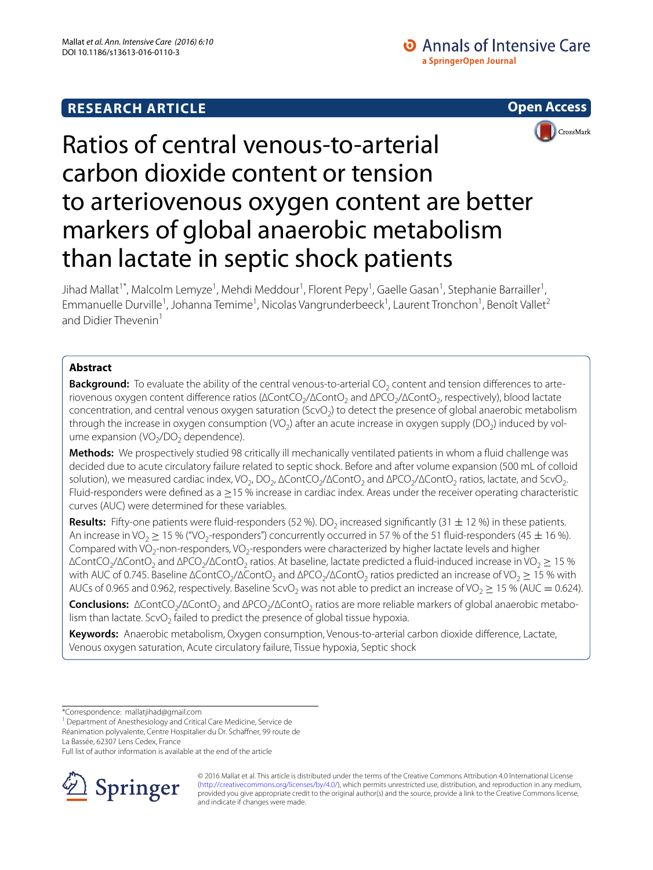# **RESEARCH ARTICLE**



# Ratios of central venous-to-arterial carbon dioxide content or tension to arteriovenous oxygen content are better markers of global anaerobic metabolism than lactate in septic shock patients

Jihad Mallat<sup>1\*</sup>, Malcolm Lemyze<sup>1</sup>, Mehdi Meddour<sup>1</sup>, Florent Pepy<sup>1</sup>, Gaelle Gasan<sup>1</sup>, Stephanie Barrailler<sup>1</sup>, Emmanuelle Durville<sup>1</sup>, Johanna Temime<sup>1</sup>, Nicolas Vangrunderbeeck<sup>1</sup>, Laurent Tronchon<sup>1</sup>, Benoît Vallet<sup>2</sup> and Didier Thevenin<sup>1</sup>

# **Abstract**

**Background:** To evaluate the ability of the central venous-to-arterial CO<sub>2</sub> content and tension differences to arteriovenous oxygen content difference ratios (ΔContCO<sub>2</sub>/ΔContO<sub>2</sub> and ΔPCO<sub>2</sub>/ΔContO<sub>2</sub>, respectively), blood lactate concentration, and central venous oxygen saturation (ScvO<sub>2</sub>) to detect the presence of global anaerobic metabolism through the increase in oxygen consumption (VO<sub>2</sub>) after an acute increase in oxygen supply (DO<sub>2</sub>) induced by volume expansion (VO<sub>2</sub>/DO<sub>2</sub> dependence).

**Methods:** We prospectively studied 98 critically ill mechanically ventilated patients in whom a fluid challenge was decided due to acute circulatory failure related to septic shock. Before and after volume expansion (500 mL of colloid solution), we measured cardiac index, VO<sub>2</sub>, DO<sub>2</sub>, ∆ContCO<sub>2</sub>/∆ContO<sub>2</sub> and ∆PCO<sub>2</sub>/∆ContO<sub>2</sub> ratios, lactate, and ScvO<sub>2</sub>. Fluid-responders were defined as a ≥15 % increase in cardiac index. Areas under the receiver operating characteristic curves (AUC) were determined for these variables.

**Results:** Fifty-one patients were fluid-responders (52 %). DO<sub>2</sub> increased significantly (31  $\pm$  12 %) in these patients. An increase in VO<sub>2</sub>  $\geq$  15 % ("VO<sub>2</sub>-responders") concurrently occurred in 57 % of the 51 fluid-responders (45  $\pm$  16 %). Compared with VO<sub>2</sub>-non-responders, VO<sub>2</sub>-responders were characterized by higher lactate levels and higher  $\Delta$ ContCO<sub>2</sub>/∆ContO<sub>2</sub> and ΔPCO<sub>2</sub>/ΔContO<sub>2</sub> ratios. At baseline, lactate predicted a fluid-induced increase in VO<sub>2</sub> ≥ 15 % with AUC of 0.745. Baseline ΔContCO<sub>2</sub>/ΔContO<sub>2</sub> and ΔPCO<sub>2</sub>/ΔContO<sub>2</sub> ratios predicted an increase of VO<sub>2</sub> ≥ 15 % with AUCs of 0.965 and 0.962, respectively. Baseline ScvO<sub>2</sub> was not able to predict an increase of VO<sub>2</sub>  $\geq$  15 % (AUC = 0.624).

Conclusions: ∆ContCO<sub>2</sub>/∆ContO<sub>2</sub> and ∆PCO<sub>2</sub>/∆ContO<sub>2</sub> ratios are more reliable markers of global anaerobic metabolism than lactate. ScvO<sub>2</sub> failed to predict the presence of global tissue hypoxia.

**Keywords:** Anaerobic metabolism, Oxygen consumption, Venous-to-arterial carbon dioxide difference, Lactate, Venous oxygen saturation, Acute circulatory failure, Tissue hypoxia, Septic shock

La Bassée, 62307 Lens Cedex, France

Full list of author information is available at the end of the article



© 2016 Mallat et al. This article is distributed under the terms of the Creative Commons Attribution 4.0 International License [\(http://creativecommons.org/licenses/by/4.0/\)](http://creativecommons.org/licenses/by/4.0/), which permits unrestricted use, distribution, and reproduction in any medium, provided you give appropriate credit to the original author(s) and the source, provide a link to the Creative Commons license, and indicate if changes were made.

<sup>\*</sup>Correspondence: mallatjihad@gmail.com

<sup>&</sup>lt;sup>1</sup> Department of Anesthesiology and Critical Care Medicine, Service de

Réanimation polyvalente, Centre Hospitalier du Dr. Schaffner, 99 route de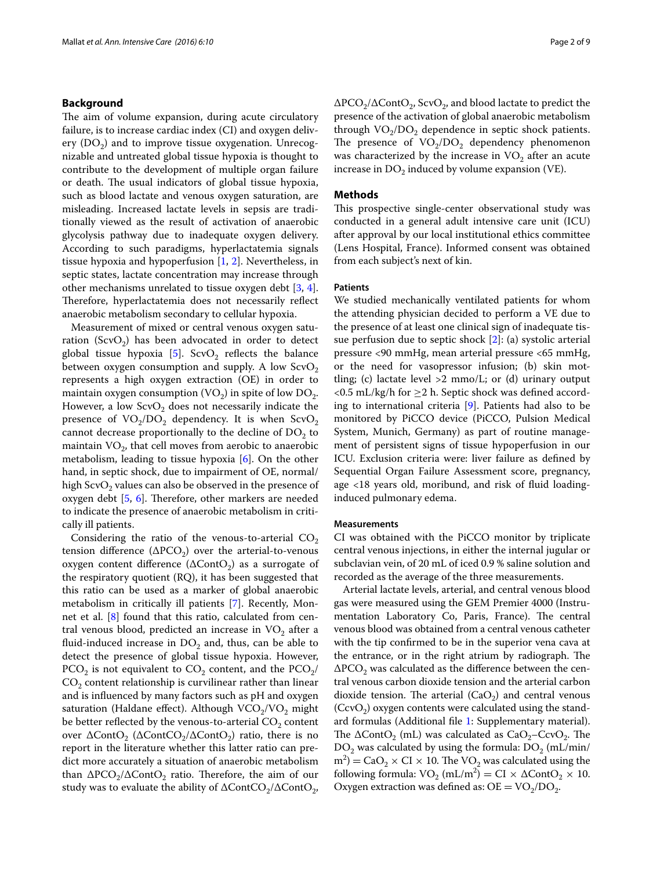#### **Background**

The aim of volume expansion, during acute circulatory failure, is to increase cardiac index (CI) and oxygen delivery  $(DO<sub>2</sub>)$  and to improve tissue oxygenation. Unrecognizable and untreated global tissue hypoxia is thought to contribute to the development of multiple organ failure or death. The usual indicators of global tissue hypoxia, such as blood lactate and venous oxygen saturation, are misleading. Increased lactate levels in sepsis are traditionally viewed as the result of activation of anaerobic glycolysis pathway due to inadequate oxygen delivery. According to such paradigms, hyperlactatemia signals tissue hypoxia and hypoperfusion [\[1](#page-7-0), [2](#page-7-1)]. Nevertheless, in septic states, lactate concentration may increase through other mechanisms unrelated to tissue oxygen debt [\[3](#page-7-2), [4](#page-7-3)]. Therefore, hyperlactatemia does not necessarily reflect anaerobic metabolism secondary to cellular hypoxia.

Measurement of mixed or central venous oxygen saturation (ScvO<sub>2</sub>) has been advocated in order to detect global tissue hypoxia [[5](#page-7-4)]. ScvO<sub>2</sub> reflects the balance between oxygen consumption and supply. A low  $ScvO<sub>2</sub>$ represents a high oxygen extraction (OE) in order to maintain oxygen consumption  $(VO<sub>2</sub>)$  in spite of low  $DO<sub>2</sub>$ . However, a low  $ScvO<sub>2</sub>$  does not necessarily indicate the presence of  $VO_2/DO_2$  dependency. It is when  $ScvO_2$ cannot decrease proportionally to the decline of  $DO<sub>2</sub>$  to maintain  $VO<sub>2</sub>$ , that cell moves from aerobic to anaerobic metabolism, leading to tissue hypoxia [\[6](#page-7-5)]. On the other hand, in septic shock, due to impairment of OE, normal/ high  $ScvO<sub>2</sub>$  values can also be observed in the presence of oxygen debt [\[5](#page-7-4), [6\]](#page-7-5). Therefore, other markers are needed to indicate the presence of anaerobic metabolism in critically ill patients.

Considering the ratio of the venous-to-arterial  $CO<sub>2</sub>$ tension difference ( $\Delta PCO_2$ ) over the arterial-to-venous oxygen content difference  $(\Delta ContO_2)$  as a surrogate of the respiratory quotient (RQ), it has been suggested that this ratio can be used as a marker of global anaerobic metabolism in critically ill patients [\[7\]](#page-7-6). Recently, Monnet et al.  $[8]$  $[8]$  found that this ratio, calculated from central venous blood, predicted an increase in  $VO<sub>2</sub>$  after a fluid-induced increase in  $DO<sub>2</sub>$  and, thus, can be able to detect the presence of global tissue hypoxia. However,  $PCO<sub>2</sub>$  is not equivalent to  $CO<sub>2</sub>$  content, and the  $PCO<sub>2</sub>$ /  $CO<sub>2</sub>$  content relationship is curvilinear rather than linear and is influenced by many factors such as pH and oxygen saturation (Haldane effect). Although  $VCO_2/VO_2$  might be better reflected by the venous-to-arterial  $CO<sub>2</sub>$  content over  $\Delta ContO_2$  ( $\Delta ContCO_2/\Delta ContO_2$ ) ratio, there is no report in the literature whether this latter ratio can predict more accurately a situation of anaerobic metabolism than  $\Delta PCO_2/\Delta ContO_2$  ratio. Therefore, the aim of our study was to evaluate the ability of  $\Delta\text{ContCO}_2/\Delta\text{ContO}_2$ ,

 $\Delta PCO_2/\Delta ContO_2$ , ScvO<sub>2</sub>, and blood lactate to predict the presence of the activation of global anaerobic metabolism through  $VO_2/DO_2$  dependence in septic shock patients. The presence of  $VO_2/DO_2$  dependency phenomenon was characterized by the increase in  $VO<sub>2</sub>$  after an acute increase in  $DO<sub>2</sub>$  induced by volume expansion (VE).

#### **Methods**

This prospective single-center observational study was conducted in a general adult intensive care unit (ICU) after approval by our local institutional ethics committee (Lens Hospital, France). Informed consent was obtained from each subject's next of kin.

#### **Patients**

We studied mechanically ventilated patients for whom the attending physician decided to perform a VE due to the presence of at least one clinical sign of inadequate tissue perfusion due to septic shock [\[2\]](#page-7-1): (a) systolic arterial pressure <90 mmHg, mean arterial pressure <65 mmHg, or the need for vasopressor infusion; (b) skin mottling; (c) lactate level  $>2$  mmo/L; or (d) urinary output <0.5 mL/kg/h for  $\geq$ 2 h. Septic shock was defined according to international criteria [[9\]](#page-7-8). Patients had also to be monitored by PiCCO device (PiCCO, Pulsion Medical System, Munich, Germany) as part of routine management of persistent signs of tissue hypoperfusion in our ICU. Exclusion criteria were: liver failure as defined by Sequential Organ Failure Assessment score, pregnancy, age <18 years old, moribund, and risk of fluid loadinginduced pulmonary edema.

#### **Measurements**

CI was obtained with the PiCCO monitor by triplicate central venous injections, in either the internal jugular or subclavian vein, of 20 mL of iced 0.9 % saline solution and recorded as the average of the three measurements.

Arterial lactate levels, arterial, and central venous blood gas were measured using the GEM Premier 4000 (Instrumentation Laboratory Co, Paris, France). The central venous blood was obtained from a central venous catheter with the tip confirmed to be in the superior vena cava at the entrance, or in the right atrium by radiograph. The  $\Delta PCO<sub>2</sub>$  was calculated as the difference between the central venous carbon dioxide tension and the arterial carbon dioxide tension. The arterial  $(CaO<sub>2</sub>)$  and central venous  $(CcvO<sub>2</sub>)$  oxygen contents were calculated using the standard formulas (Additional file [1:](#page-7-9) Supplementary material). The  $\Delta ContO_2$  (mL) was calculated as  $CaO_2-Cc<sub>2</sub>$ . The  $DO<sub>2</sub>$  was calculated by using the formula:  $DO<sub>2</sub>$  (mL/min/  $(m^2) = CaO_2 \times CI \times 10$ . The VO<sub>2</sub> was calculated using the following formula:  $VO_2$  (mL/m<sup>2</sup>) = CI ×  $\Delta$ Cont $O_2$  × 10. Oxygen extraction was defined as:  $OE = VO_2/DO_2$ .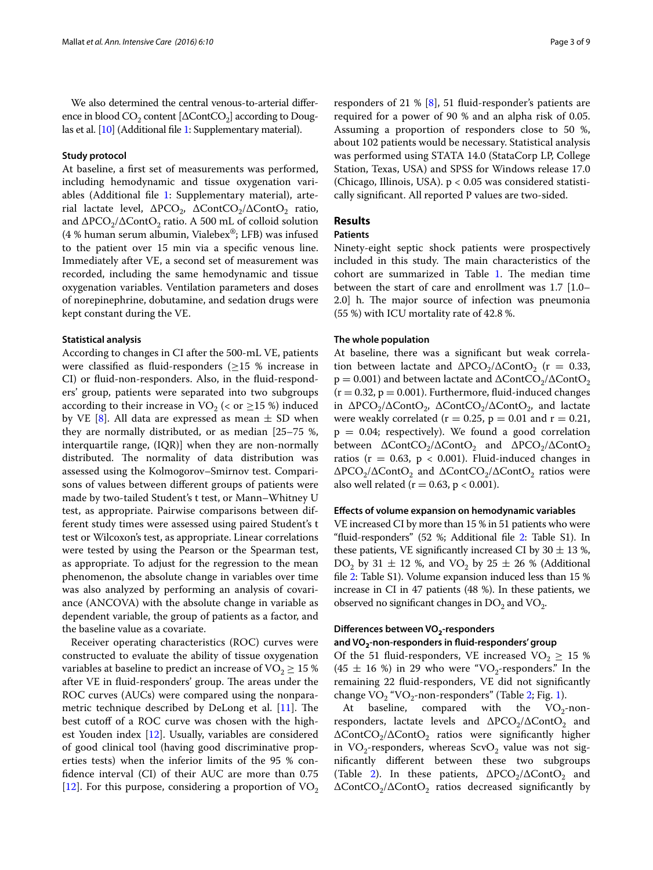We also determined the central venous-to-arterial difference in blood  $CO_2$  content [ $\Delta$ ContCO<sub>2</sub>] according to Douglas et al. [\[10\]](#page-7-10) (Additional file [1](#page-7-9): Supplementary material).

#### **Study protocol**

At baseline, a first set of measurements was performed, including hemodynamic and tissue oxygenation variables (Additional file [1](#page-7-9): Supplementary material), arterial lactate level,  $\Delta PCO_2$ ,  $\Delta ContCO_2/\Delta ContO_2$  ratio, and  $\Delta PCO_2/\Delta ContO_2$  ratio. A 500 mL of colloid solution (4 % human serum albumin, Vialebex<sup>®</sup>; LFB) was infused to the patient over 15 min via a specific venous line. Immediately after VE, a second set of measurement was recorded, including the same hemodynamic and tissue oxygenation variables. Ventilation parameters and doses of norepinephrine, dobutamine, and sedation drugs were kept constant during the VE.

#### **Statistical analysis**

According to changes in CI after the 500-mL VE, patients were classified as fluid-responders  $(\geq 15 \%)$  increase in CI) or fluid-non-responders. Also, in the fluid-responders' group, patients were separated into two subgroups according to their increase in VO<sub>2</sub> (< or  $\geq$ 15 %) induced by VE [[8\]](#page-7-7). All data are expressed as mean  $\pm$  SD when they are normally distributed, or as median [25–75 %, interquartile range, (IQR)] when they are non-normally distributed. The normality of data distribution was assessed using the Kolmogorov–Smirnov test. Comparisons of values between different groups of patients were made by two-tailed Student's t test, or Mann–Whitney U test, as appropriate. Pairwise comparisons between different study times were assessed using paired Student's t test or Wilcoxon's test, as appropriate. Linear correlations were tested by using the Pearson or the Spearman test, as appropriate. To adjust for the regression to the mean phenomenon, the absolute change in variables over time was also analyzed by performing an analysis of covariance (ANCOVA) with the absolute change in variable as dependent variable, the group of patients as a factor, and the baseline value as a covariate.

Receiver operating characteristics (ROC) curves were constructed to evaluate the ability of tissue oxygenation variables at baseline to predict an increase of  $VO<sub>2</sub> \ge 15$  % after VE in fluid-responders' group. The areas under the ROC curves (AUCs) were compared using the nonparametric technique described by DeLong et al. [[11\]](#page-7-11). The best cutoff of a ROC curve was chosen with the highest Youden index [[12](#page-7-12)]. Usually, variables are considered of good clinical tool (having good discriminative properties tests) when the inferior limits of the 95 % confidence interval (CI) of their AUC are more than 0.75 [[12\]](#page-7-12). For this purpose, considering a proportion of  $VO<sub>2</sub>$ 

responders of 21 % [\[8\]](#page-7-7), 51 fluid-responder's patients are required for a power of 90 % and an alpha risk of 0.05. Assuming a proportion of responders close to 50 %, about 102 patients would be necessary. Statistical analysis was performed using STATA 14.0 (StataCorp LP, College Station, Texas, USA) and SPSS for Windows release 17.0 (Chicago, Illinois, USA). p < 0.05 was considered statistically significant. All reported P values are two-sided.

# **Results**

# **Patients**

Ninety-eight septic shock patients were prospectively included in this study. The main characteristics of the cohort are summarized in Table [1](#page-3-0). The median time between the start of care and enrollment was 1.7 [1.0– 2.0] h. The major source of infection was pneumonia (55 %) with ICU mortality rate of 42.8 %.

#### **The whole population**

At baseline, there was a significant but weak correlation between lactate and  $\Delta PCO_2/\Delta ContO_2$  (r = 0.33,  $p = 0.001$ ) and between lactate and  $\Delta$ ContCO<sub>2</sub>/ $\Delta$ ContO<sub>2</sub>  $(r = 0.32, p = 0.001)$ . Furthermore, fluid-induced changes in  $ΔPCO<sub>2</sub>/ΔContO<sub>2</sub>$ ,  $ΔContCO<sub>2</sub>/ΔContO<sub>2</sub>$ , and lactate were weakly correlated ( $r = 0.25$ ,  $p = 0.01$  and  $r = 0.21$ ,  $p = 0.04$ ; respectively). We found a good correlation between ∆ContCO<sub>2</sub>/∆ContO<sub>2</sub> and ∆PCO<sub>2</sub>/∆ContO<sub>2</sub> ratios ( $r = 0.63$ ,  $p < 0.001$ ). Fluid-induced changes in  $\Delta PCO_2/\Delta ContO_2$  and  $\Delta ContCO_2/\Delta ContO_2$  ratios were also well related ( $r = 0.63$ ,  $p < 0.001$ ).

## **Effects of volume expansion on hemodynamic variables**

VE increased CI by more than 15 % in 51 patients who were "fluid-responders" (52 %; Additional file [2:](#page-7-13) Table S1). In these patients, VE significantly increased CI by  $30 \pm 13$  %, DO<sub>2</sub> by 31  $\pm$  12 %, and VO<sub>2</sub> by 25  $\pm$  26 % (Additional file [2](#page-7-13): Table S1). Volume expansion induced less than 15 % increase in CI in 47 patients (48 %). In these patients, we observed no significant changes in  $DO<sub>2</sub>$  and  $VO<sub>2</sub>$ .

#### **Differences between VO2‑responders**

#### **and VO2‑non‑responders in fluid‑responders' group**

Of the 51 fluid-responders, VE increased  $VO<sub>2</sub> \ge 15$  %  $(45 \pm 16 \%)$  in 29 who were "VO<sub>2</sub>-responders." In the remaining 22 fluid-responders, VE did not significantly

change  $VO_2$  "VO<sub>2</sub>-non-responders" (Table [2](#page-4-0); Fig. [1\)](#page-5-0).<br>At baseline, compared with the  $VO_2$ -non-At baseline, compared with responders, lactate levels and  $\Delta PCO_2/\Delta ContO_2$  and ∆ContCO<sub>2</sub>/∆ContO<sub>2</sub> ratios were significantly higher in  $VO_2$ -responders, whereas  $ScvO_2$  value was not significantly different between these two subgroups (Table [2\)](#page-4-0). In these patients,  $\Delta PCO_2/\Delta ContO_2$  and ∆ContCO<sub>2</sub>/∆ContO<sub>2</sub> ratios decreased significantly by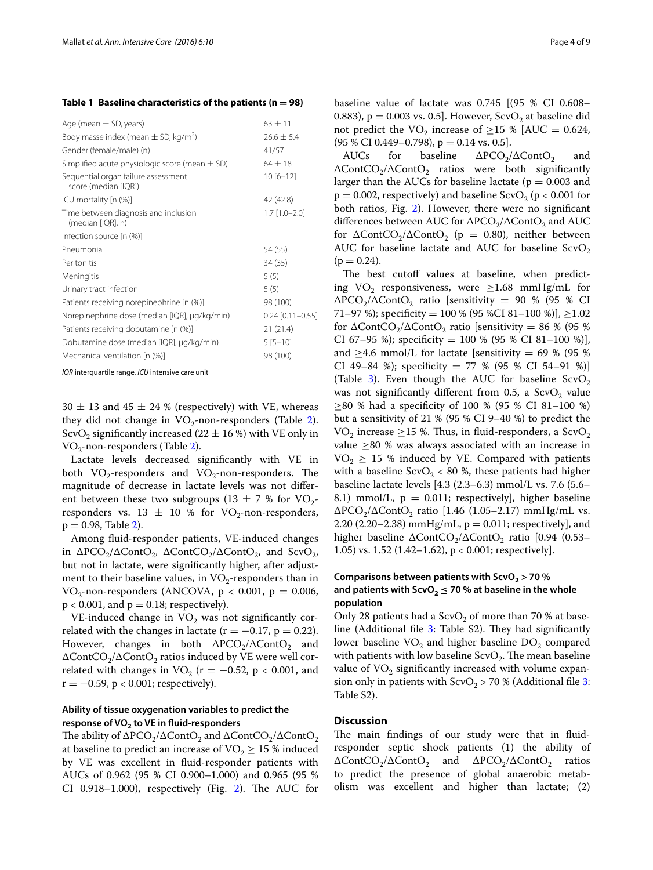<span id="page-3-0"></span>**Table 1 Baseline characteristics of the patients (n = 98)**

| Age (mean $\pm$ SD, years)                                  | $63 \pm 11$         |
|-------------------------------------------------------------|---------------------|
| Body masse index (mean $\pm$ SD, kg/m <sup>2</sup> )        | $26.6 \pm 5.4$      |
| Gender (female/male) (n)                                    | 41/57               |
| Simplified acute physiologic score (mean $\pm$ SD)          | $64 \pm 18$         |
| Sequential organ failure assessment<br>score (median [IQR]) | $10[6 - 12]$        |
| ICU mortality [n (%)]                                       | 42 (42.8)           |
| Time between diagnosis and inclusion<br>(median [IQR], h)   | $1.7$ $[1.0 - 2.0]$ |
| Infection source [n (%)]                                    |                     |
| Pneumonia                                                   | 54 (55)             |
| Peritonitis                                                 | 34 (35)             |
| Meningitis                                                  | 5(5)                |
| Urinary tract infection                                     | 5(5)                |
| Patients receiving norepinephrine [n (%)]                   | 98 (100)            |
| Norepinephrine dose (median [IQR], µg/kg/min)               | $0.24$ [0.11-0.55]  |
| Patients receiving dobutamine [n (%)]                       | 21(21.4)            |
| Dobutamine dose (median [IQR], µg/kg/min)                   | $5[5-10]$           |
| Mechanical ventilation [n (%)]                              | 98 (100)            |
|                                                             |                     |

*IQR* interquartile range, *ICU* intensive care unit

 $30 \pm 13$  and  $45 \pm 24$  % (respectively) with VE, whereas they did not change in  $VO_2$  $VO_2$ -non-responders (Table 2). ScvO<sub>2</sub> significantly increased (22  $\pm$  16 %) with VE only in  $VO_2$ -non-responders (Table [2](#page-4-0)).

Lactate levels decreased significantly with VE in both  $VO_2$ -responders and  $VO_2$ -non-responders. The magnitude of decrease in lactate levels was not different between these two subgroups (13  $\pm$  7 % for VO<sub>2</sub>responders vs. 13  $\pm$  10 % for VO<sub>2</sub>-non-responders,  $p = 0.98$ , Table [2](#page-4-0)).

Among fluid-responder patients, VE-induced changes in  $\Delta PCO_2/\Delta ContO_2$ ,  $\Delta ContCO_2/\Delta ContO_2$ , and  $ScvO_2$ , but not in lactate, were significantly higher, after adjustment to their baseline values, in  $VO_2$ -responders than in  $VO_2$ -non-responders (ANCOVA,  $p < 0.001$ ,  $p = 0.006$ ,  $p < 0.001$ , and  $p = 0.18$ ; respectively).

VE-induced change in  $VO<sub>2</sub>$  was not significantly correlated with the changes in lactate ( $r = -0.17$ ,  $p = 0.22$ ). However, changes in both  $\Delta PCO_2/\Delta ContO_2$  and  $\Delta$ ContCO<sub>2</sub>/ $\Delta$ ContO<sub>2</sub> ratios induced by VE were well correlated with changes in  $VO<sub>2</sub>$  (r = -0.52, p < 0.001, and  $r = -0.59$ ,  $p < 0.001$ ; respectively).

## **Ability of tissue oxygenation variables to predict the response of VO2 to VE in fluid‑responders**

The ability of  $\Delta PCO_2/\Delta ContO_2$  and  $\Delta ContCO_2/\Delta ContO_2$ at baseline to predict an increase of  $VO<sub>2</sub> \ge 15$  % induced by VE was excellent in fluid-responder patients with AUCs of 0.962 (95 % CI 0.900–1.000) and 0.965 (95 % CI 0.918–1.000), respectively (Fig. [2](#page-5-1)). The AUC for baseline value of lactate was 0.745 [(95 % CI 0.608– 0.883),  $p = 0.003$  vs. 0.5]. However, ScvO<sub>2</sub> at baseline did not predict the VO<sub>2</sub> increase of  $\geq$ 15 % [AUC = 0.624, (95 % CI 0.449–0.798), p = 0.14 vs. 0.5].<br>AUCs for baseline  $\Delta PCO_2$ 

 $ΔPCO<sub>2</sub>/ΔContO<sub>2</sub>$  and  $\Delta\text{ContCO}_2/\Delta\text{ContO}_2$  ratios were both significantly larger than the AUCs for baseline lactate ( $p = 0.003$  and  $p = 0.002$ , respectively) and baseline ScvO<sub>2</sub> ( $p < 0.001$  for both ratios, Fig. [2\)](#page-5-1). However, there were no significant differences between AUC for  $\Delta PCO_2/\Delta ContO_2$  and AUC for  $\Delta\text{ContCO}_2/\Delta\text{ContO}_2$  (p = 0.80), neither between AUC for baseline lactate and AUC for baseline  $ScvO<sub>2</sub>$  $(p = 0.24)$ .

The best cutoff values at baseline, when predicting VO<sub>2</sub> responsiveness, were  $\geq$ 1.68 mmHg/mL for  $\Delta PCO_2/\Delta ContO_2$  ratio [sensitivity = 90 % (95 % CI 71–97 %); specificity = 100 % (95 %CI 81–100 %)],  $\geq$ 1.02 for  $\Delta\text{ContCO}_2/\Delta\text{ContO}_2$  ratio [sensitivity = 86 % (95 %) CI 67-95 %); specificity = 100 % (95 % CI 81-100 %)], and  $>4.6$  mmol/L for lactate [sensitivity = 69 % (95 %) CI 49–84 %); specificity =  $77$  % (95 % CI 54–91 %)] (Table [3\)](#page-5-2). Even though the AUC for baseline  $ScvO<sub>2</sub>$ was not significantly different from 0.5, a  $ScvO<sub>2</sub>$  value ≥80 % had a specificity of 100 % (95 % CI 81–100 %) but a sensitivity of 21 % (95 % CI 9–40 %) to predict the VO<sub>2</sub> increase  $\geq$ 15 %. Thus, in fluid-responders, a ScvO<sub>2</sub> value  $\geq$ 80 % was always associated with an increase in  $VO<sub>2</sub> \ge 15$  % induced by VE. Compared with patients with a baseline  $ScvO<sub>2</sub> < 80$ %, these patients had higher baseline lactate levels [4.3 (2.3–6.3) mmol/L vs. 7.6 (5.6– 8.1) mmol/L,  $p = 0.011$ ; respectively], higher baseline  $\Delta PCO_2/\Delta ContO_2$  ratio [1.46 (1.05–2.17) mmHg/mL vs. 2.20 (2.20–2.38) mmHg/mL,  $p = 0.011$ ; respectively], and higher baseline ∆ContCO<sub>2</sub>/∆ContO<sub>2</sub> ratio [0.94 (0.53– 1.05) vs. 1.52 (1.42–1.62),  $p < 0.001$ ; respectively].

## **Comparisons between patients with ScvO2 > 70 % and patients with ScvO<sup>2</sup> ≤ 70 % at baseline in the whole population**

Only 28 patients had a  $ScvO<sub>2</sub>$  of more than 70 % at base-line (Additional file [3](#page-7-14): Table S2). They had significantly lower baseline  $VO<sub>2</sub>$  and higher baseline  $DO<sub>2</sub>$  compared with patients with low baseline  $ScvO<sub>2</sub>$ . The mean baseline value of  $VO<sub>2</sub>$  significantly increased with volume expansion only in patients with  $ScvO<sub>2</sub> > 70$  % (Additional file [3](#page-7-14): Table S2).

#### **Discussion**

The main findings of our study were that in fluidresponder septic shock patients (1) the ability of ∆ContCO<sub>2</sub>/∆ContO<sub>2</sub> and ∆PCO<sub>2</sub>/∆ContO<sub>2</sub> ratios to predict the presence of global anaerobic metabolism was excellent and higher than lactate; (2)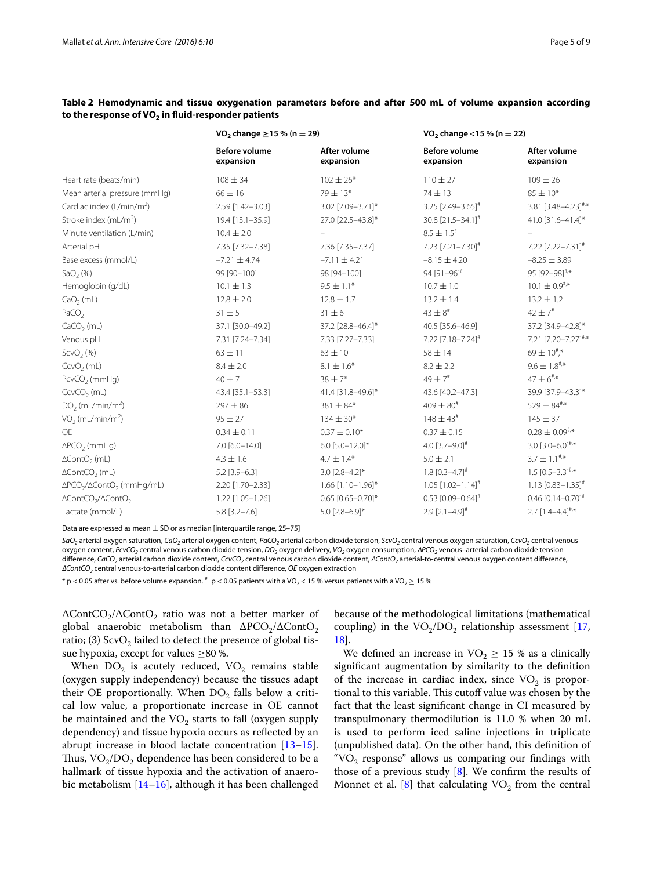|                                          | VO <sub>2</sub> change ≥15 % (n = 29) |                           | VO <sub>2</sub> change <15 % (n = 22) |                                           |  |
|------------------------------------------|---------------------------------------|---------------------------|---------------------------------------|-------------------------------------------|--|
|                                          | <b>Before volume</b><br>expansion     | After volume<br>expansion | <b>Before volume</b><br>expansion     | After volume<br>expansion                 |  |
| Heart rate (beats/min)                   | $108 \pm 34$                          | $102 \pm 26*$             | $110 \pm 27$                          | $109 \pm 26$                              |  |
| Mean arterial pressure (mmHg)            | $66 \pm 16$                           | 79 ± 13*                  | 74 ± 13                               | $85 \pm 10*$                              |  |
| Cardiac index $(L/min/m2)$               | 2.59 [1.42-3.03]                      | 3.02 [2.09-3.71]*         | $3.25$ [2.49-3.65] <sup>#</sup>       | 3.81 $[3.48 - 4.23]^{4,*}$                |  |
| Stroke index (mL/m <sup>2</sup> )        | 19.4 [13.1-35.9]                      | 27.0 [22.5-43.8]*         | 30.8 [21.5-34.1] <sup>#</sup>         | 41.0 [31.6-41.4]*                         |  |
| Minute ventilation (L/min)               | $10.4 \pm 2.0$                        |                           | $8.5 \pm 1.5$ #                       |                                           |  |
| Arterial pH                              | 7.35 [7.32-7.38]                      | 7.36 [7.35-7.37]          | 7.23 [7.21-7.30]#                     | 7.22 [7.22-7.31]#                         |  |
| Base excess (mmol/L)                     | $-7.21 \pm 4.74$                      | $-7.11 \pm 4.21$          | $-8.15 \pm 4.20$                      | $-8.25 \pm 3.89$                          |  |
| SaO <sub>2</sub> (%)                     | 99 [90-100]                           | 98 [94-100]               | 94 $[91 - 96]$ <sup>#</sup>           | 95 [92-98] <sup>#,*</sup>                 |  |
| Hemoglobin (g/dL)                        | $10.1 \pm 1.3$                        | $9.5 \pm 1.1*$            | $10.7 \pm 1.0$                        | $10.1 \pm 0.9^{#*}$                       |  |
| $CaO2$ (mL)                              | $12.8 \pm 2.0$                        | $12.8 \pm 1.7$            | $13.2 \pm 1.4$                        | $13.2 \pm 1.2$                            |  |
| PaCO <sub>2</sub>                        | $31 \pm 5$                            | $31 \pm 6$                | $43 \pm 8^{\text{*}}$                 | $42 \pm 7$ <sup>#</sup>                   |  |
| $CaCO2$ (mL)                             | 37.1 [30.0-49.2]                      | 37.2 [28.8-46.4]*         | 40.5 [35.6-46.9]                      | 37.2 [34.9-42.8]*                         |  |
| Venous pH                                | 7.31 [7.24-7.34]                      | 7.33 [7.27-7.33]          | 7.22 [7.18-7.24] <sup>#</sup>         | 7.21 [7.20-7.27]#,*                       |  |
| ScvO <sub>2</sub> (%)                    | $63 \pm 11$                           | $63 \pm 10$               | $58 \pm 14$                           | $69 \pm 10^{#}_{ }$ ,*                    |  |
| $CcvO2$ (mL)                             | $8.4 \pm 2.0$                         | $8.1 \pm 1.6*$            | $8.2 \pm 2.2$                         | $9.6 \pm 1.8$ #,*                         |  |
| $PcvCO2$ (mmHg)                          | $40 + 7$                              | $38 \pm 7*$               | $49 \pm 7$ #                          | $47 \pm 6$ <sup>#</sup> /*                |  |
| $CcvCO2$ (mL)                            | 43.4 [35.1-53.3]                      | 41.4 [31.8-49.6]*         | 43.6 [40.2-47.3]                      | 39.9 [37.9-43.3]*                         |  |
| DO <sub>2</sub> (mL/min/m <sup>2</sup> ) | $297 \pm 86$                          | 381 ± 84*                 | $409 \pm 80^{4}$                      | 529 $\pm$ 84 <sup>#</sup> $\cdot$ *       |  |
| VO <sub>2</sub> (mL/min/m <sup>2</sup> ) | $95 \pm 27$                           | $134 \pm 30*$             | $148 \pm 43^{\text{*}}$               | $145 \pm 37$                              |  |
| <b>OE</b>                                | $0.34 \pm 0.11$                       | $0.37 \pm 0.10*$          | $0.37 \pm 0.15$                       | $0.28 \pm 0.09^{ \text{\#} ,\ast}$        |  |
| $\triangle PCO$ <sub>2</sub> (mmHg)      | 7.0 [6.0-14.0]                        | 6.0 $[5.0 - 12.0]$ *      | 4.0 $[3.7 - 9.0]$ <sup>#</sup>        | $3.0\;[3.0\text{--}6.0]^{*,\ast}$         |  |
| $\Delta ContO2$ (mL)                     | $4.3 \pm 1.6$                         | $4.7 \pm 1.4*$            | $5.0 \pm 2.1$                         | $3.7 \pm 1.1$ <sup>#</sup> <sup>*</sup>   |  |
| $\Delta ContCO$ <sub>2</sub> (mL)        | $5.2$ [3.9-6.3]                       | $3.0$ $[2.8 - 4.2]$ *     | $1.8$ [0.3-4.7] <sup>#</sup>          | $1.5$ [0.5-3.3] <sup>#</sup> <sup>*</sup> |  |
| $\Delta PCO_2/\Delta ContO_2$ (mmHg/mL)  | 2.20 [1.70-2.33]                      | 1.66 [1.10-1.96]*         | $1.05$ $[1.02 - 1.14]$ <sup>#</sup>   | $1.13$ [0.83-1.35] <sup>#</sup>           |  |
| $\Delta ContCO_2/\Delta ContO_2$         | 1.22 [1.05-1.26]                      | $0.65$ [0.65-0.70]*       | $0.53$ [0.09-0.64] <sup>#</sup>       | $0.46$ [0.14-0.70] <sup>#</sup>           |  |
| Lactate (mmol/L)                         | $5.8$ [3.2-7.6]                       | $5.0$ [2.8-6.9]*          | $2.9$ [2.1-4.9] <sup>#</sup>          | $2.7$ [1.4-4.4] <sup>#,*</sup>            |  |

<span id="page-4-0"></span>**Table 2 Hemodynamic and tissue oxygenation parameters before and after 500 mL of volume expansion according**  to the response of VO<sub>2</sub> in fluid-responder patients

Data are expressed as mean  $+$  SD or as median [interquartile range, 25–75]

*SaO2* arterial oxygen saturation, *CaO2* arterial oxygen content, *PaCO2* arterial carbon dioxide tension, *ScvO2* central venous oxygen saturation, *CcvO2* central venous oxygen content, *PcvCO2* central venous carbon dioxide tension, *DO2* oxygen delivery, *VO2* oxygen consumption, *∆PCO2* venous–arterial carbon dioxide tension difference, *CaCO2* arterial carbon dioxide content, *CcvCO2* central venous carbon dioxide content, *∆ContO2* arterial-to-central venous oxygen content difference, *∆ContCO2* central venous-to-arterial carbon dioxide content difference, *OE* oxygen extraction

\* p < 0.05 after vs. before volume expansion.  $*$  p < 0.05 patients with a VO<sub>2</sub> < 15 % versus patients with a VO<sub>2</sub> ≥ 15 %

 $\Delta\text{ContCO}_2/\Delta\text{ContO}_2$  ratio was not a better marker of global anaerobic metabolism than  $\Delta PCO_2/\Delta ContO_2$ ratio; (3)  $ScvO<sub>2</sub>$  failed to detect the presence of global tissue hypoxia, except for values ≥80 %.

When  $DO<sub>2</sub>$  is acutely reduced,  $VO<sub>2</sub>$  remains stable (oxygen supply independency) because the tissues adapt their OE proportionally. When  $DO<sub>2</sub>$  falls below a critical low value, a proportionate increase in OE cannot be maintained and the  $VO<sub>2</sub>$  starts to fall (oxygen supply dependency) and tissue hypoxia occurs as reflected by an abrupt increase in blood lactate concentration [[13](#page-7-15)[–15](#page-7-16)]. Thus,  $VO_2/DO_2$  dependence has been considered to be a hallmark of tissue hypoxia and the activation of anaerobic metabolism [[14–](#page-7-17)[16](#page-7-18)], although it has been challenged because of the methodological limitations (mathematical coupling) in the  $VO<sub>2</sub>/DO<sub>2</sub>$  relationship assessment [[17](#page-7-19), [18\]](#page-7-20).

We defined an increase in  $VO<sub>2</sub> \ge 15$  % as a clinically significant augmentation by similarity to the definition of the increase in cardiac index, since  $VO<sub>2</sub>$  is proportional to this variable. This cutoff value was chosen by the fact that the least significant change in CI measured by transpulmonary thermodilution is 11.0 % when 20 mL is used to perform iced saline injections in triplicate (unpublished data). On the other hand, this definition of "VO<sub>2</sub> response" allows us comparing our findings with those of a previous study  $[8]$  $[8]$ . We confirm the results of Monnet et al.  $[8]$  $[8]$  that calculating VO<sub>2</sub> from the central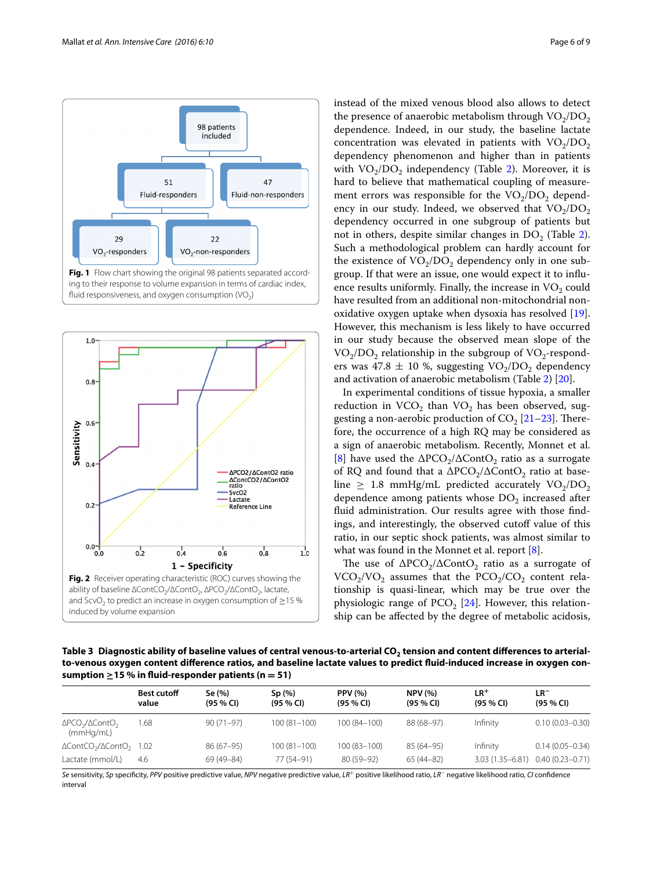



<span id="page-5-0"></span>

instead of the mixed venous blood also allows to detect the presence of anaerobic metabolism through  $VO<sub>2</sub>/DO<sub>2</sub>$ dependence. Indeed, in our study, the baseline lactate concentration was elevated in patients with  $VO<sub>2</sub>/DO<sub>2</sub>$ dependency phenomenon and higher than in patients with  $VO<sub>2</sub>/DO<sub>2</sub>$  independency (Table [2\)](#page-4-0). Moreover, it is hard to believe that mathematical coupling of measurement errors was responsible for the  $VO<sub>2</sub>/DO<sub>2</sub>$  dependency in our study. Indeed, we observed that  $VO<sub>2</sub>/DO<sub>2</sub>$ dependency occurred in one subgroup of patients but not in others, despite similar changes in  $DO_{2}$  $DO_{2}$  $DO_{2}$  (Table 2). Such a methodological problem can hardly account for the existence of  $VO_2/DO_2$  dependency only in one subgroup. If that were an issue, one would expect it to influence results uniformly. Finally, the increase in  $VO<sub>2</sub>$  could have resulted from an additional non-mitochondrial nonoxidative oxygen uptake when dysoxia has resolved [\[19](#page-7-21)]. However, this mechanism is less likely to have occurred in our study because the observed mean slope of the  $VO<sub>2</sub>/DO<sub>2</sub>$  relationship in the subgroup of  $VO<sub>2</sub>$ -responders was 47.8  $\pm$  10 %, suggesting VO<sub>2</sub>/DO<sub>2</sub> dependency and activation of anaerobic metabolism (Table [2\)](#page-4-0) [\[20](#page-7-22)].

In experimental conditions of tissue hypoxia, a smaller reduction in  $VCO<sub>2</sub>$  than  $VO<sub>2</sub>$  has been observed, suggesting a non-aerobic production of  $CO<sub>2</sub>$  [[21–](#page-8-0)[23\]](#page-8-1). Therefore, the occurrence of a high RQ may be considered as a sign of anaerobic metabolism. Recently, Monnet et al. [[8\]](#page-7-7) have used the  $\Delta PCO_2/\Delta ContO_2$  ratio as a surrogate of RQ and found that a  $\Delta PCO_2/\Delta ContO_2$  ratio at baseline  $\geq$  1.8 mmHg/mL predicted accurately VO<sub>2</sub>/DO<sub>2</sub> dependence among patients whose  $DO<sub>2</sub>$  increased after fluid administration. Our results agree with those findings, and interestingly, the observed cutoff value of this ratio, in our septic shock patients, was almost similar to what was found in the Monnet et al. report [\[8\]](#page-7-7).

The use of  $\Delta PCO_2/\Delta ContO_2$  ratio as a surrogate of  $VCO<sub>2</sub>/VO<sub>2</sub>$  assumes that the  $PCO<sub>2</sub>/CO<sub>2</sub>$  content relationship is quasi-linear, which may be true over the physiologic range of  $PCO<sub>2</sub>$  [[24](#page-8-2)]. However, this relationship can be affected by the degree of metabolic acidosis,

<span id="page-5-2"></span><span id="page-5-1"></span>Table 3 Diagnostic ability of baseline values of central venous-to-arterial CO<sub>2</sub> tension and content differences to arterial**to-venous oxygen content difference ratios, and baseline lactate values to predict fluid-induced increase in oxygen con**sumption  $\geq$  15 % in fluid-responder patients (n = 51)

|                                                            | <b>Best cutoff</b><br>value | Se (%)<br>(95 % C) | Sp(%)<br>(95 % C) | <b>PPV</b> (%)<br>$(95\%$ CI) | <b>NPV (%)</b><br>$(95 \% Cl)$ | $LR^+$<br>(95 % C)  | LR <sup>-</sup><br>$(95\%$ CI) |
|------------------------------------------------------------|-----------------------------|--------------------|-------------------|-------------------------------|--------------------------------|---------------------|--------------------------------|
| $\Delta PCO_2/\Delta ContO_2$<br>(mmHg/mL)                 | .68                         | $90(71-97)$        | $100(81 - 100)$   | 100 (84-100)                  | 88 (68-97)                     | Infinity            | $0.10(0.03 - 0.30)$            |
| $\Delta$ ContCO <sub>2</sub> / $\Delta$ ContO <sub>2</sub> | 1.02                        | 86 (67-95)         | $100(81 - 100)$   | $100(83 - 100)$               | $85(64-95)$                    | Infinity            | $0.14(0.05 - 0.34)$            |
| Lactate (mmol/L)                                           | 4.6                         | 69 (49 - 84)       | 77 (54-91)        | 80 (59-92)                    | $65(44-82)$                    | $3.03(1.35 - 6.81)$ | $0.40(0.23 - 0.71)$            |

*Se* sensitivity, *Sp* specificity, *PPV* positive predictive value, *NPV* negative predictive value, *LR*+ positive likelihood ratio, *LR*− negative likelihood ratio, *CI* confidence interval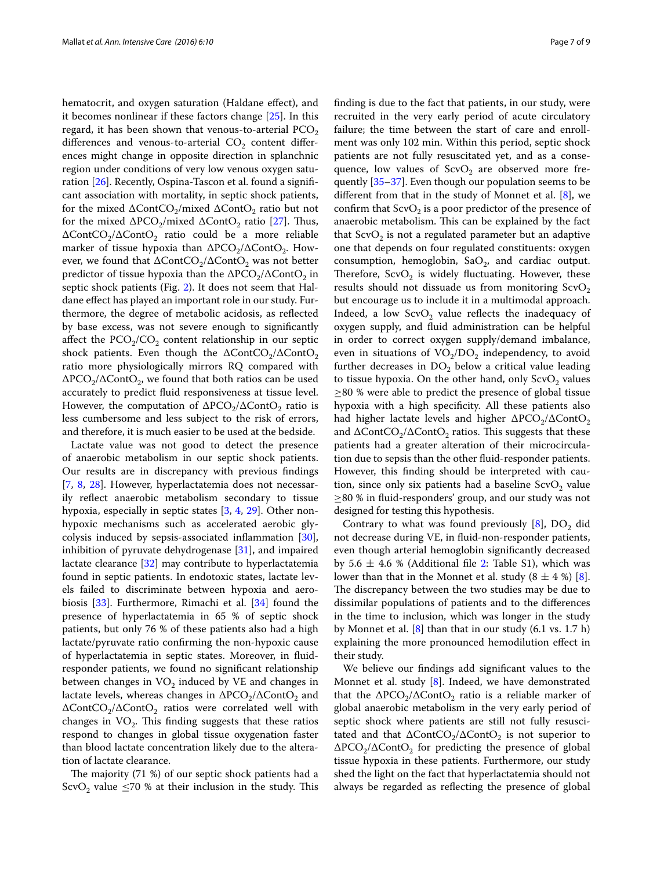hematocrit, and oxygen saturation (Haldane effect), and it becomes nonlinear if these factors change [[25](#page-8-3)]. In this regard, it has been shown that venous-to-arterial  $PCO<sub>2</sub>$ differences and venous-to-arterial  $CO<sub>2</sub>$  content differences might change in opposite direction in splanchnic region under conditions of very low venous oxygen saturation [[26\]](#page-8-4). Recently, Ospina-Tascon et al. found a significant association with mortality, in septic shock patients, for the mixed  $\Delta\text{ContCO}_2/\text{mixed}\ \Delta\text{ContO}_2$  ratio but not for the mixed  $\Delta PCO_2/mixed \Delta ContO_2$  ratio [\[27\]](#page-8-5). Thus,  $\Delta$ ContCO<sub>2</sub>/ $\Delta$ ContO<sub>2</sub> ratio could be a more reliable marker of tissue hypoxia than  $\Delta PCO_2/\Delta ContO_2$ . However, we found that  $\Delta$ ContCO<sub>2</sub>/ $\Delta$ ContO<sub>2</sub> was not better predictor of tissue hypoxia than the  $\Delta PCO_2/\Delta ContO_2$  in septic shock patients (Fig. [2](#page-5-1)). It does not seem that Haldane effect has played an important role in our study. Furthermore, the degree of metabolic acidosis, as reflected by base excess, was not severe enough to significantly affect the  $PCO<sub>2</sub>/CO<sub>2</sub>$  content relationship in our septic shock patients. Even though the  $\Delta\text{ContCO}_2/\Delta\text{ContO}_2$ ratio more physiologically mirrors RQ compared with  $\Delta PCO_2/\Delta ContO_2$ , we found that both ratios can be used accurately to predict fluid responsiveness at tissue level. However, the computation of  $\Delta PCO_2/\Delta ContO_2$  ratio is less cumbersome and less subject to the risk of errors, and therefore, it is much easier to be used at the bedside.

Lactate value was not good to detect the presence of anaerobic metabolism in our septic shock patients. Our results are in discrepancy with previous findings [[7,](#page-7-6) [8,](#page-7-7) [28](#page-8-6)]. However, hyperlactatemia does not necessarily reflect anaerobic metabolism secondary to tissue hypoxia, especially in septic states [\[3](#page-7-2), [4,](#page-7-3) [29\]](#page-8-7). Other nonhypoxic mechanisms such as accelerated aerobic glycolysis induced by sepsis-associated inflammation [\[30](#page-8-8)], inhibition of pyruvate dehydrogenase [\[31](#page-8-9)], and impaired lactate clearance [\[32](#page-8-10)] may contribute to hyperlactatemia found in septic patients. In endotoxic states, lactate levels failed to discriminate between hypoxia and aerobiosis [\[33](#page-8-11)]. Furthermore, Rimachi et al. [\[34\]](#page-8-12) found the presence of hyperlactatemia in 65 % of septic shock patients, but only 76 % of these patients also had a high lactate/pyruvate ratio confirming the non-hypoxic cause of hyperlactatemia in septic states. Moreover, in fluidresponder patients, we found no significant relationship between changes in  $VO<sub>2</sub>$  induced by VE and changes in lactate levels, whereas changes in  $\Delta PCO_2/\Delta ContO_2$  and ∆ContCO<sub>2</sub>/∆ContO<sub>2</sub> ratios were correlated well with changes in  $VO<sub>2</sub>$ . This finding suggests that these ratios respond to changes in global tissue oxygenation faster than blood lactate concentration likely due to the alteration of lactate clearance.

The majority (71 %) of our septic shock patients had a ScvO<sub>2</sub> value  $\leq$ 70 % at their inclusion in the study. This finding is due to the fact that patients, in our study, were recruited in the very early period of acute circulatory failure; the time between the start of care and enrollment was only 102 min. Within this period, septic shock patients are not fully resuscitated yet, and as a consequence, low values of  $ScvO<sub>2</sub>$  are observed more frequently [[35–](#page-8-13)[37](#page-8-14)]. Even though our population seems to be different from that in the study of Monnet et al. [[8](#page-7-7)], we confirm that  $ScvO<sub>2</sub>$  is a poor predictor of the presence of anaerobic metabolism. This can be explained by the fact that  $ScvO<sub>2</sub>$  is not a regulated parameter but an adaptive one that depends on four regulated constituents: oxygen consumption, hemoglobin,  $SaO<sub>2</sub>$ , and cardiac output. Therefore,  $ScvO<sub>2</sub>$  is widely fluctuating. However, these results should not dissuade us from monitoring  $ScvO<sub>2</sub>$ but encourage us to include it in a multimodal approach. Indeed, a low  $ScvO<sub>2</sub>$  value reflects the inadequacy of oxygen supply, and fluid administration can be helpful in order to correct oxygen supply/demand imbalance, even in situations of  $VO<sub>2</sub>/DO<sub>2</sub>$  independency, to avoid further decreases in  $DO<sub>2</sub>$  below a critical value leading to tissue hypoxia. On the other hand, only  $ScvO<sub>2</sub>$  values  $\geq$ 80 % were able to predict the presence of global tissue hypoxia with a high specificity. All these patients also had higher lactate levels and higher  $\Delta PCO_2/\Delta ContO_2$ and  $\Delta$ ContCO<sub>2</sub>/ $\Delta$ ContO<sub>2</sub> ratios. This suggests that these patients had a greater alteration of their microcirculation due to sepsis than the other fluid-responder patients. However, this finding should be interpreted with caution, since only six patients had a baseline  $ScvO<sub>2</sub>$  value ≥80 % in fluid-responders' group, and our study was not designed for testing this hypothesis.

Contrary to what was found previously  $[8]$  $[8]$ , DO<sub>2</sub> did not decrease during VE, in fluid-non-responder patients, even though arterial hemoglobin significantly decreased by 5.6  $\pm$  4.6 % (Additional file [2:](#page-7-13) Table S1), which was lower than that in the Monnet et al. study  $(8 \pm 4 \%)$  [\[8](#page-7-7)]. The discrepancy between the two studies may be due to dissimilar populations of patients and to the differences in the time to inclusion, which was longer in the study by Monnet et al. [[8\]](#page-7-7) than that in our study (6.1 vs. 1.7 h) explaining the more pronounced hemodilution effect in their study.

We believe our findings add significant values to the Monnet et al. study [\[8](#page-7-7)]. Indeed, we have demonstrated that the  $\Delta PCO_2/\Delta ContO_2$  ratio is a reliable marker of global anaerobic metabolism in the very early period of septic shock where patients are still not fully resuscitated and that  $\Delta$ ContCO<sub>2</sub>/ $\Delta$ ContO<sub>2</sub> is not superior to  $\Delta PCO_2/\Delta ContO_2$  for predicting the presence of global tissue hypoxia in these patients. Furthermore, our study shed the light on the fact that hyperlactatemia should not always be regarded as reflecting the presence of global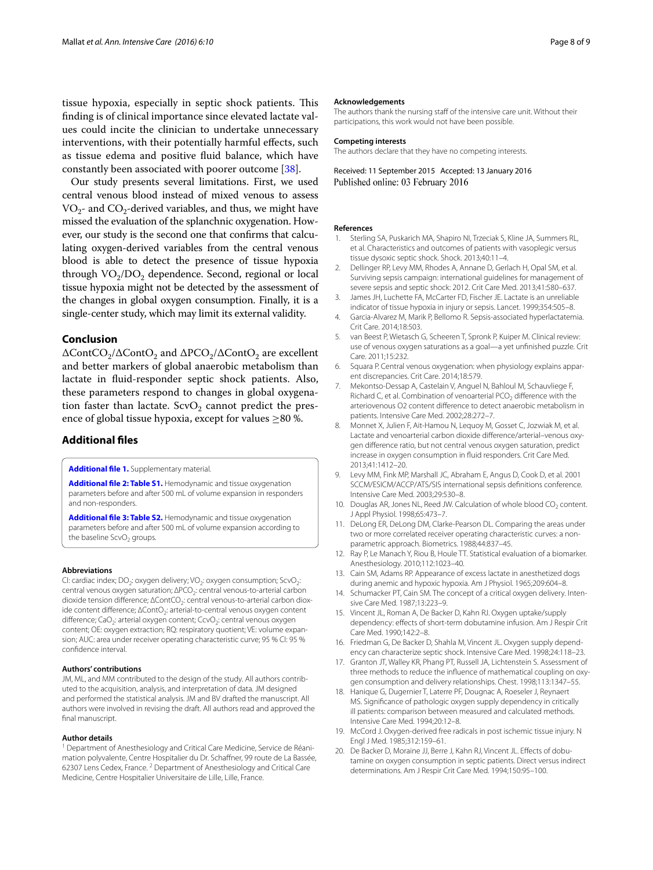tissue hypoxia, especially in septic shock patients. This finding is of clinical importance since elevated lactate values could incite the clinician to undertake unnecessary interventions, with their potentially harmful effects, such as tissue edema and positive fluid balance, which have constantly been associated with poorer outcome [[38](#page-8-15)].

Our study presents several limitations. First, we used central venous blood instead of mixed venous to assess  $VO_{2}$ - and  $CO_{2}$ -derived variables, and thus, we might have missed the evaluation of the splanchnic oxygenation. However, our study is the second one that confirms that calculating oxygen-derived variables from the central venous blood is able to detect the presence of tissue hypoxia through  $VO<sub>2</sub>/DO<sub>2</sub>$  dependence. Second, regional or local tissue hypoxia might not be detected by the assessment of the changes in global oxygen consumption. Finally, it is a single-center study, which may limit its external validity.

#### **Conclusion**

 $\Delta$ ContCO<sub>2</sub>/∆ContO<sub>2</sub> and  $\Delta$ PCO<sub>2</sub>/∆ContO<sub>2</sub> are excellent and better markers of global anaerobic metabolism than lactate in fluid-responder septic shock patients. Also, these parameters respond to changes in global oxygenation faster than lactate.  $ScvO<sub>2</sub>$  cannot predict the presence of global tissue hypoxia, except for values ≥80 %.

#### **Additional files**

<span id="page-7-13"></span><span id="page-7-9"></span>**[Additional file 1.](http://dx.doi.org/10.1186/s13613-016-0110-3)** Supplementary material.

**[Additional file 2: Table S1.](http://dx.doi.org/10.1186/s13613-016-0110-3)** Hemodynamic and tissue oxygenation parameters before and after 500 mL of volume expansion in responders and non-responders.

<span id="page-7-14"></span>**[Additional file 3: Table S2.](http://dx.doi.org/10.1186/s13613-016-0110-3)** Hemodynamic and tissue oxygenation parameters before and after 500 mL of volume expansion according to the baseline  $ScvO<sub>2</sub>$  groups.

#### **Abbreviations**

CI: cardiac index; DO<sub>2</sub>: oxygen delivery; VO<sub>2</sub>: oxygen consumption; ScvO<sub>2</sub>: central venous oxygen saturation; ∆PCO<sub>2</sub>: central venous-to-arterial carbon dioxide tension difference; ∆ContCO<sub>2</sub>: central venous-to-arterial carbon dioxide content difference; ∆ContO2: arterial-to-central venous oxygen content difference; CaO<sub>2</sub>: arterial oxygen content; CcvO<sub>2</sub>: central venous oxygen content; OE: oxygen extraction; RQ: respiratory quotient; VE: volume expansion; AUC: area under receiver operating characteristic curve; 95 % CI: 95 % confidence interval.

#### **Authors' contributions**

JM, ML, and MM contributed to the design of the study. All authors contributed to the acquisition, analysis, and interpretation of data. JM designed and performed the statistical analysis. JM and BV drafted the manuscript. All authors were involved in revising the draft. All authors read and approved the final manuscript.

#### **Author details**

<sup>1</sup> Department of Anesthesiology and Critical Care Medicine, Service de Réanimation polyvalente, Centre Hospitalier du Dr. Schaffner, 99 route de La Bassée, 62307 Lens Cedex, France.<sup>2</sup> Department of Anesthesiology and Critical Care Medicine, Centre Hospitalier Universitaire de Lille, Lille, France.

#### **Acknowledgements**

The authors thank the nursing staff of the intensive care unit. Without their participations, this work would not have been possible.

#### **Competing interests**

The authors declare that they have no competing interests.

Received: 11 September 2015 Accepted: 13 January 2016 Published online: 03 February 2016

#### **References**

- <span id="page-7-0"></span>1. Sterling SA, Puskarich MA, Shapiro NI, Trzeciak S, Kline JA, Summers RL, et al. Characteristics and outcomes of patients with vasoplegic versus tissue dysoxic septic shock. Shock. 2013;40:11–4.
- <span id="page-7-1"></span>2. Dellinger RP, Levy MM, Rhodes A, Annane D, Gerlach H, Opal SM, et al. Surviving sepsis campaign: international guidelines for management of severe sepsis and septic shock: 2012. Crit Care Med. 2013;41:580–637.
- <span id="page-7-2"></span>3. James JH, Luchette FA, McCarter FD, Fischer JE. Lactate is an unreliable indicator of tissue hypoxia in injury or sepsis. Lancet. 1999;354:505–8.
- <span id="page-7-3"></span>4. Garcia-Alvarez M, Marik P, Bellomo R. Sepsis-associated hyperlactatemia. Crit Care. 2014;18:503.
- <span id="page-7-4"></span>5. van Beest P, Wietasch G, Scheeren T, Spronk P, Kuiper M. Clinical review: use of venous oxygen saturations as a goal—a yet unfinished puzzle. Crit Care. 2011;15:232.
- <span id="page-7-5"></span>6. Squara P. Central venous oxygenation: when physiology explains apparent discrepancies. Crit Care. 2014;18:579.
- <span id="page-7-6"></span>7. Mekontso-Dessap A, Castelain V, Anguel N, Bahloul M, Schauvliege F, Richard C, et al. Combination of venoarterial  $PCO<sub>2</sub>$  difference with the arteriovenous O2 content difference to detect anaerobic metabolism in patients. Intensive Care Med. 2002;28:272–7.
- <span id="page-7-7"></span>8. Monnet X, Julien F, Ait-Hamou N, Lequoy M, Gosset C, Jozwiak M, et al. Lactate and venoarterial carbon dioxide difference/arterial–venous oxygen difference ratio, but not central venous oxygen saturation, predict increase in oxygen consumption in fluid responders. Crit Care Med. 2013;41:1412–20.
- <span id="page-7-8"></span>9. Levy MM, Fink MP, Marshall JC, Abraham E, Angus D, Cook D, et al. 2001 SCCM/ESICM/ACCP/ATS/SIS international sepsis definitions conference. Intensive Care Med. 2003;29:530–8.
- <span id="page-7-10"></span>10. Douglas AR, Jones NL, Reed JW. Calculation of whole blood  $CO<sub>2</sub>$  content. J Appl Physiol. 1998;65:473–7.
- <span id="page-7-11"></span>11. DeLong ER, DeLong DM, Clarke-Pearson DL. Comparing the areas under two or more correlated receiver operating characteristic curves: a nonparametric approach. Biometrics. 1988;44:837–45.
- <span id="page-7-12"></span>12. Ray P, Le Manach Y, Riou B, Houle TT. Statistical evaluation of a biomarker. Anesthesiology. 2010;112:1023–40.
- <span id="page-7-15"></span>13. Cain SM, Adams RP. Appearance of excess lactate in anesthetized dogs during anemic and hypoxic hypoxia. Am J Physiol. 1965;209:604–8.
- <span id="page-7-17"></span>14. Schumacker PT, Cain SM. The concept of a critical oxygen delivery. Intensive Care Med. 1987;13:223–9.
- <span id="page-7-16"></span>15. Vincent JL, Roman A, De Backer D, Kahn RJ. Oxygen uptake/supply dependency: effects of short-term dobutamine infusion. Am J Respir Crit Care Med. 1990;142:2–8.
- <span id="page-7-18"></span>16. Friedman G, De Backer D, Shahla M, Vincent JL. Oxygen supply dependency can characterize septic shock. Intensive Care Med. 1998;24:118–23.
- <span id="page-7-19"></span>17. Granton JT, Walley KR, Phang PT, Russell JA, Lichtenstein S. Assessment of three methods to reduce the influence of mathematical coupling on oxygen consumption and delivery relationships. Chest. 1998;113:1347–55.
- <span id="page-7-20"></span>18. Hanique G, Dugernier T, Laterre PF, Dougnac A, Roeseler J, Reynaert MS. Significance of pathologic oxygen supply dependency in critically ill patients: comparison between measured and calculated methods. Intensive Care Med. 1994;20:12–8.
- <span id="page-7-21"></span>19. McCord J. Oxygen-derived free radicals in post ischemic tissue injury. N Engl J Med. 1985;312:159–61.
- <span id="page-7-22"></span>20. De Backer D, Moraine JJ, Berre J, Kahn RJ, Vincent JL. Effects of dobutamine on oxygen consumption in septic patients. Direct versus indirect determinations. Am J Respir Crit Care Med. 1994;150:95–100.